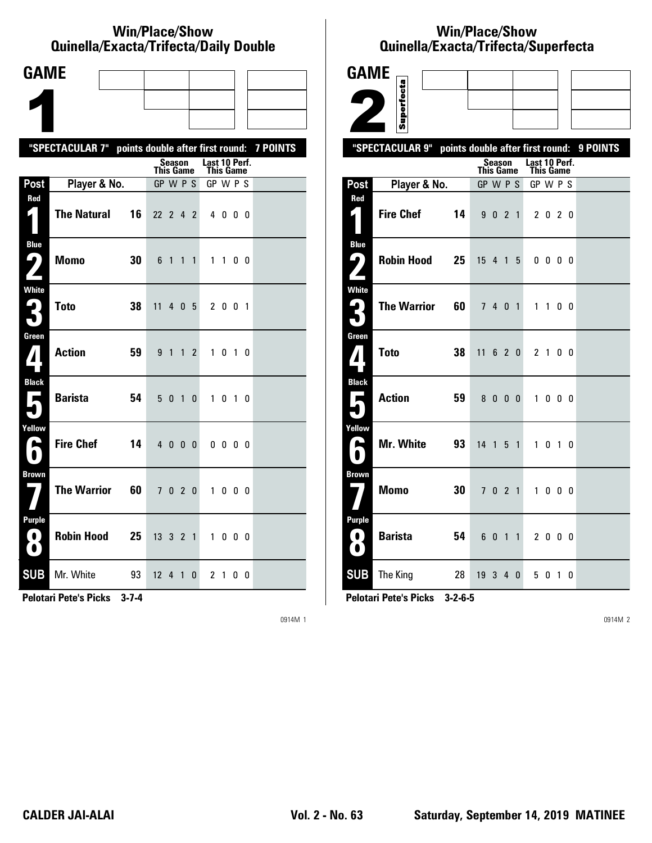### **Win/Place/Show Qui nel la/Exacta/Tri fecta/Daily Dou ble**

| <b>GAME</b>                             |                                                           |    |                  |                |                |                |                            |           |    |  |
|-----------------------------------------|-----------------------------------------------------------|----|------------------|----------------|----------------|----------------|----------------------------|-----------|----|--|
|                                         |                                                           |    |                  |                |                |                |                            |           |    |  |
|                                         |                                                           |    |                  |                |                |                |                            |           |    |  |
|                                         | "SPECTACULAR 7" points double after first round: 7 POINTS |    |                  |                |                |                |                            |           |    |  |
|                                         |                                                           |    | <b>This Game</b> | Season         |                |                | Last 10 Perf.<br>This Game |           |    |  |
| Post                                    | Player & No.                                              |    | GP W P S         |                |                |                | GP W P S                   |           |    |  |
| Red<br>1                                | <b>The Natural</b>                                        | 16 | 22 2 4 2         |                |                |                |                            | 4000      |    |  |
| <b>Blue</b><br>- 2                      | <b>Momo</b>                                               | 30 | 6 1              |                | $\mathbf{1}$   | $\mathbf{1}$   |                            | $1\quad1$ | 00 |  |
| <b>White</b><br>Ê.<br>O.                | <b>Toto</b>                                               | 38 | 11               |                | 4 0 5          |                |                            | 2 0 0 1   |    |  |
| Green<br>$\bf{Z}$                       | <b>Action</b>                                             | 59 |                  | 9 1 1          |                | $\overline{c}$ |                            | 1 0 1 0   |    |  |
| <b>Black</b><br>$\blacksquare$          | <b>Barista</b>                                            | 54 |                  | 5 <sub>0</sub> | $\overline{1}$ | 0              |                            | 1 0 1 0   |    |  |
| Yellow<br>A                             | <b>Fire Chef</b>                                          | 14 | 40               |                | 0 <sub>0</sub> |                |                            | 0000      |    |  |
| <b>Brown</b>                            | <b>The Warrior</b>                                        | 60 | 7 <sup>1</sup>   |                | 020            |                |                            | 1000      |    |  |
| <b>Purple</b><br>$\left( 0\right)$<br>O | <b>Robin Hood</b>                                         | 25 | 13 3 2 1         |                |                |                |                            | 1000      |    |  |
| <b>SUB</b>                              | Mr. White                                                 | 93 | $12 \t 4 \t 1$   |                |                | 0              |                            | 21        | 00 |  |

**Pelotari Pete's Picks 3-7-4**

0914M 1

## **Win/Place/Show Qui nel la/Exacta/Tri fecta/Super fecta**

| <b>GAME</b>                                      |                                                  |                  |                         |                |                |                                   |                   |  |          |
|--------------------------------------------------|--------------------------------------------------|------------------|-------------------------|----------------|----------------|-----------------------------------|-------------------|--|----------|
|                                                  |                                                  |                  |                         |                |                |                                   |                   |  |          |
|                                                  | Superfecta                                       |                  |                         |                |                |                                   |                   |  |          |
|                                                  | "SPECTACULAR 9" points double after first round: |                  |                         |                |                |                                   |                   |  | 9 POINTS |
|                                                  |                                                  | <b>This Game</b> | Season                  |                |                | Last 10 Perf.<br><b>This Game</b> |                   |  |          |
| Post                                             | Player & No.                                     | GP W P S         |                         |                |                | GP W P S                          |                   |  |          |
| Red<br>4                                         | <b>Fire Chef</b><br>14                           |                  | 9 0 2 1                 |                |                |                                   | 2 0 2 0           |  |          |
| <b>Blue</b><br>ر ما                              | <b>Robin Hood</b><br>25                          | 15 4 1 5         |                         |                |                |                                   | $0\,0\,0\,0$      |  |          |
| White<br>$\mathbf{L}_\parallel$                  | <b>The Warrior</b><br>60                         |                  | 7 4 0 1                 |                |                |                                   | 1 1 0 0           |  |          |
| Green<br>$\boldsymbol{I}$                        | <b>Toto</b><br>38                                | 11               | 6 2 0                   |                |                |                                   | 2 1 0 0           |  |          |
| <b>Black</b><br>Е                                | <b>Action</b><br>59                              |                  | 8000                    |                |                | $\mathbf{1}$                      | $0\quad 0\quad 0$ |  |          |
| Yellow<br>$\blacktriangleright$                  | <b>Mr. White</b><br>93                           | 14 <sub>1</sub>  |                         | 5              | $\overline{1}$ | $\mathbf{1}$                      | $0$ 1 $0$         |  |          |
| <b>Brown</b>                                     | <b>Momo</b><br>30                                |                  | 7 0 2 1                 |                |                |                                   | 1000              |  |          |
| <b>Purple</b><br>$\left( 0 \right)$<br>$\bullet$ | <b>Barista</b><br>54                             | 6                | $\overline{\mathbf{0}}$ | $\overline{1}$ | $\mathbf{1}$   |                                   | 2 0 0 0           |  |          |
| <b>SUB</b>                                       | The King<br>28                                   | 19340            |                         |                |                |                                   | 5 0 1 0           |  |          |

**Pelotari Pete's Picks 3-2-6-5**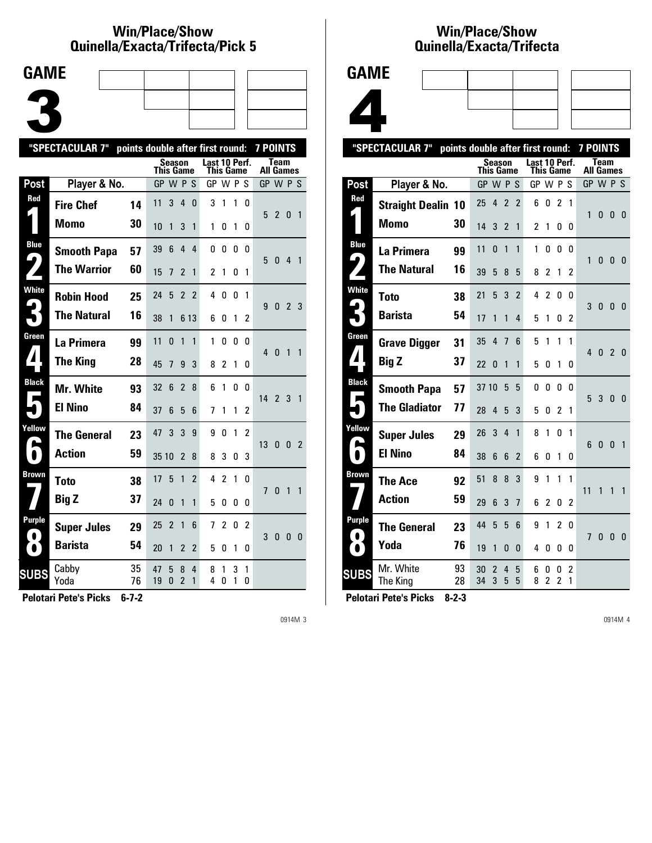## **Win/Place/Show Qui nel la/Exacta/Tri fecta/Pick 5**



|                  | "SPECTACULAR 7"    | points double after first round: |           |                |                               |                |                            |                |              |              | <b>7 POINTS</b> |              |                |                |
|------------------|--------------------|----------------------------------|-----------|----------------|-------------------------------|----------------|----------------------------|----------------|--------------|--------------|-----------------|--------------|----------------|----------------|
|                  |                    |                                  | This Game | Season         |                               |                | Last 10 Perf.<br>This Game |                |              |              | All Games       | Team         |                |                |
| Post             | Player & No.       |                                  | GP W P S  |                |                               |                | GP W P S                   |                |              |              | GP W P S        |              |                |                |
| Red              | <b>Fire Chef</b>   | 14                               | 11        | 3              | $\overline{4}$                | $\Omega$       | 3                          | 1              | 1            | 0            | 5               | $2^{\circ}$  | $\bf{0}$       | 1              |
|                  | <b>Momo</b>        | 30                               | 10        | 1              | 3                             | 1              | 1                          | O              | 1            | 0            |                 |              |                |                |
| <b>Blue</b><br>4 | <b>Smooth Papa</b> | 57                               | 39        | 6              | $\overline{4}$                | 4              | 0                          | 0              | 0            | 0            | 5               | $\mathbf{0}$ | 4              | $\mathbf{1}$   |
|                  | <b>The Warrior</b> | 60                               | 15        | 7              | 2                             | 1              | 2                          | 1              | 0            | 1            |                 |              |                |                |
| <b>White</b>     | <b>Robin Hood</b>  | 25                               | 24        | 5              | $\overline{2}$                | $\overline{2}$ | 4                          | 0              | 0            | 1            | 9               | $\mathbf{0}$ | 2 <sub>3</sub> |                |
|                  | <b>The Natural</b> | 16                               | 38        | 1              |                               | 6 13           | 6                          | 0              | 1            | 2            |                 |              |                |                |
| Green            | La Primera         | 99                               | 11        | $\Omega$       | 1                             | $\mathbf{1}$   | 1                          | 0              | 0            | n            | $\overline{4}$  | $\Omega$     | 1              | 1              |
|                  | <b>The King</b>    | 28                               | 45        | 7              | 9                             | 3              | 8                          | 2              | 1            | 0            |                 |              |                |                |
| <b>Black</b>     | <b>Mr. White</b>   | 93                               | 32        | 6              | $\overline{\phantom{a}}$      | 8              | 6                          | 1              | 0            | <sub>0</sub> | $142$           |              | 3              | $\overline{1}$ |
|                  | <b>El Nino</b>     | 84                               | 37        | 6              | 5                             | 6              | 7                          | 1              | 1            | 2            |                 |              |                |                |
| Yellow           | <b>The General</b> | 23                               | 47        | 3              | 3                             | 9              | 9                          | 0              | 1            | 2            | 13              | $\mathbf{0}$ | $\mathbf{0}$   | $\overline{2}$ |
| $\bullet$        | <b>Action</b>      | 59                               | 35 10     |                | $\overline{2}$                | 8              | 8                          | 3              | 0            | 3            |                 |              |                |                |
| Brown            | <b>Toto</b>        | 38                               | 17        | 5              | 1                             | 2              | 4                          | $\overline{2}$ | $\mathbf{1}$ | 0            | 7               | $\Omega$     | 1              | 1              |
|                  | <b>Big Z</b>       | 37                               | 24        | $\Omega$       | 1                             | 1              | 5                          | O              | 0            | 0            |                 |              |                |                |
| Purple           | <b>Super Jules</b> | 29                               | 25        | $\overline{2}$ | $\mathbf{1}$                  | 6              | 7                          | $\overline{2}$ | 0            | 2            | 3               | $\bf{0}$     | 0              | 0              |
|                  | <b>Barista</b>     | 54                               | 20        | 1              | 2                             | 2              | 5                          | 0              | 1            | 0            |                 |              |                |                |
| SUBS             | Cabby<br>Yoda      | 35<br>76                         | 47<br>19  | 5<br>0         | 8<br>$\overline{\phantom{a}}$ | 4<br>1         | 8<br>4                     | 1<br>0         | 3<br>1       | 1<br>0       |                 |              |                |                |
|                  |                    |                                  |           |                |                               |                |                            |                |              |              |                 |              |                |                |

**Pelotari Pete's Picks 6-7-2**

0914M 3

## **Win/Place/Show Qui nel la/Exacta/Tri fecta**



|                   | "SPECTACULAR 7"           | points double after first round: |           |                     |                          |                |               |                     |                     |                     | <b>7 POINTS</b> |              |                |                |
|-------------------|---------------------------|----------------------------------|-----------|---------------------|--------------------------|----------------|---------------|---------------------|---------------------|---------------------|-----------------|--------------|----------------|----------------|
|                   |                           |                                  | This Game | <b>Season</b>       |                          |                | Last 10 Perf. | This Game           |                     |                     | All Games       | <b>Team</b>  |                |                |
| <b>Post</b>       | Player & No.              |                                  | GP        |                     | <b>WPS</b>               |                | GP W P        |                     |                     | S                   | GP W P S        |              |                |                |
| Red               | <b>Straight Dealin 10</b> |                                  | 25        | 4                   | $\overline{2}$           | $\overline{2}$ | 6             | 0                   | $\overline{2}$      | 1                   | 1               | 0            | 0              | $\mathbf{0}$   |
|                   | Momo                      | 30                               | 14        | 3                   | $\overline{\phantom{a}}$ | 1              | $\mathfrak z$ | 1                   | 0                   | 0                   |                 |              |                |                |
| <b>Blue</b><br>9  | La Primera                | 99                               | 11        | 0                   | 1                        | 1              | 1             | 0                   | $\Omega$            | 0                   | 1               | 0            | $\mathbf{0}$   | 0              |
|                   | <b>The Natural</b>        | 16                               | 39        | 5                   | 8                        | 5              | 8             | 2                   | 1                   | 2                   |                 |              |                |                |
| <b>White</b>      | <b>Toto</b>               | 38                               | 21        | 5                   | 3                        | $\overline{2}$ | 4             | 2                   | 0                   | 0                   | 3               | 0            | $\mathbf{0}$   | 0              |
|                   | <b>Barista</b>            | 54                               | 17        | 1                   | 1                        | 4              | 5             | 1                   | 0                   | 2                   |                 |              |                |                |
| Green             | <b>Grave Digger</b>       | 31                               | 35        | 4                   | $\overline{7}$           | 6              | 5             | 1                   | 1                   | 1                   | 4               | $\mathbf{0}$ | $\mathfrak{p}$ | $\overline{0}$ |
| ◢                 | <b>Big Z</b>              | 37                               | 22        | 0                   | 1                        | 1              | 5             | 0                   | 1                   | 0                   |                 |              |                |                |
| <b>Black</b><br>Е | <b>Smooth Papa</b>        | 57                               | 37 10     |                     | 5                        | 5              | 0             | 0                   | 0                   | 0                   | 5               | 3            | $\mathbf{0}$   | $\mathbf{0}$   |
|                   | <b>The Gladiator</b>      | 77                               | 28        | 4                   | 5                        | 3              | 5             | 0                   | $\overline{2}$      | 1                   |                 |              |                |                |
| Yellow            | <b>Super Jules</b>        | 29                               | 26        | 3                   | 4                        | 1              | 8             | 1                   | 0                   | 1                   | 6               | $\mathbf{0}$ | $\overline{0}$ | $\overline{1}$ |
|                   | <b>El Nino</b>            | 84                               | 38        | 6                   | 6                        | $\overline{2}$ | 6             | 0                   | 1                   | 0                   |                 |              |                |                |
| Brown             | <b>The Ace</b>            | 92                               | 51        | 8                   | 8                        | 3              | 9             | 1                   | 1                   | 1                   | 11              | 1            | 1              | 1              |
|                   | <b>Action</b>             | 59                               | 29        | 6                   | 3                        | 7              | 6             | 2                   | 0                   | 2                   |                 |              |                |                |
| Purple            | <b>The General</b>        | 23                               | 44        | 5                   | 5                        | 6              | 9             | 1                   | $\overline{2}$      | 0                   | $\overline{7}$  | 0            | $\mathbf{0}$   | - 0            |
| $\bullet$         | Yoda                      | 76                               | 19        | 1                   | 0                        | 0              | 4             | 0                   | 0                   | 0                   |                 |              |                |                |
| <b>SUBS</b>       | Mr. White<br>The King     | 93<br>28                         | 30<br>34  | $\overline{2}$<br>3 | 4<br>5                   | 5<br>5         | 6<br>8        | 0<br>$\overline{c}$ | 0<br>$\overline{c}$ | $\overline{c}$<br>1 |                 |              |                |                |
|                   |                           |                                  |           |                     |                          |                |               |                     |                     |                     |                 |              |                |                |

**Pelotari Pete's Picks 8-2-3**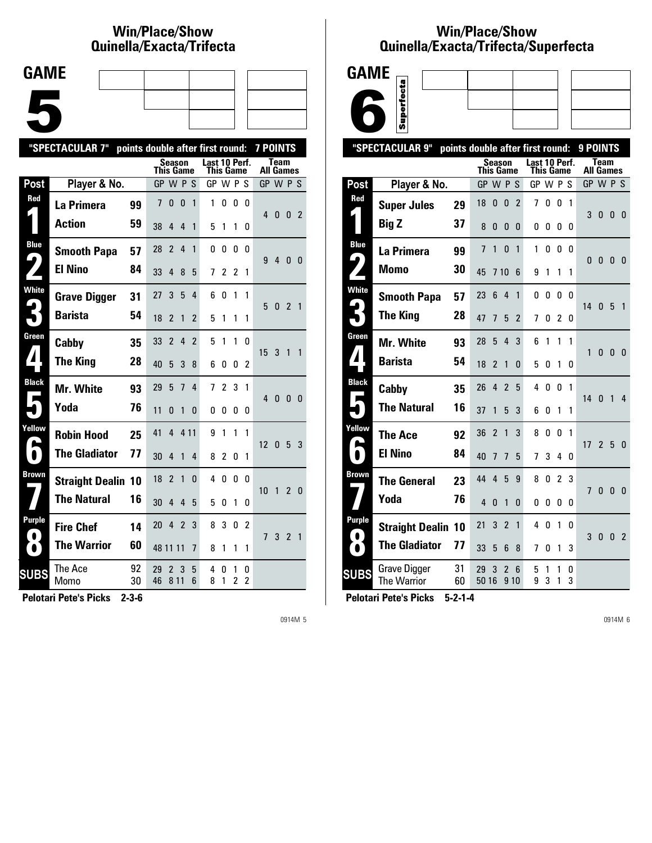# **Win/Place/Show Qui nel la/Exacta/Tri fecta**

| <b>GAME</b> |  |  |
|-------------|--|--|
|             |  |  |
|             |  |  |
|             |  |  |
|             |  |  |
|             |  |  |
|             |  |  |
|             |  |  |

|                     | "SPECTACULAR 7"           |          |                  |                          |                |                          | points double after first round:  |                |        |        | <b>7 POINTS</b>  |                |                |                |
|---------------------|---------------------------|----------|------------------|--------------------------|----------------|--------------------------|-----------------------------------|----------------|--------|--------|------------------|----------------|----------------|----------------|
|                     |                           |          | <b>This Game</b> | <b>Season</b>            |                |                          | Last 10 Perf.<br><b>This Game</b> |                |        |        | <b>All Games</b> | <b>Team</b>    |                |                |
| Post                | Player & No.              |          | GP W P S         |                          |                |                          | GP W P S                          |                |        |        | GP W P S         |                |                |                |
| Red                 | La Primera                | 99       | 7                | 0                        | $\mathbf{0}$   | 1                        | 1                                 | 0              | 0      | 0      | 4                | $\mathbf{0}$   | 0 <sub>2</sub> |                |
|                     | <b>Action</b>             | 59       | 38               | 4                        | 4              | 1                        | 5                                 | 1              | 1      | 0      |                  |                |                |                |
| <b>Blue</b>         | <b>Smooth Papa</b>        | 57       | 28               | $\overline{2}$           | 4              | 1                        | 0                                 | 0              | 0      | 0      | 9                | $\overline{4}$ | 0 <sub>0</sub> |                |
| 9,                  | <b>El Nino</b>            | 84       | 33               | 4                        | 8              | 5                        | 7                                 | 2              | 2      | 1      |                  |                |                |                |
| <b>White</b>        | <b>Grave Digger</b>       | 31       | 27               | 3                        | 5              | 4                        | 6                                 | 0              | 1      | 1      | 5                | $\bf{0}$       | $\overline{2}$ | $\overline{1}$ |
|                     | <b>Barista</b>            | 54       | 18               | $\mathfrak z$            | 1              | 2                        | 5                                 | 1              | 1      | 1      |                  |                |                |                |
| Green               | Cabby                     | 35       | 33               | $\mathfrak{p}$           | 4              | $\overline{\phantom{a}}$ | 5                                 | 1              | 1      | U      | 15               | 3              | 1              | $\mathbf{1}$   |
|                     | <b>The King</b>           | 28       | 40               | 5                        | 3              | 8                        | 6                                 | O              | 0      | 2      |                  |                |                |                |
| <b>Black</b>        | Mr. White                 | 93       | 29               | 5                        | 7              | 4                        | 7                                 | $\overline{c}$ | 3      | 1      | 4                | $\mathbf{0}$   | $\mathbf{0}$   | $\overline{0}$ |
|                     | Yoda                      | 76       | 11               | N                        | 1              | 0                        | 0                                 | 0              | 0      | 0      |                  |                |                |                |
| Yellow              | <b>Robin Hood</b>         | 25       | 41               | 4                        | 4 1 1          |                          | 9                                 | 1              | 1      | 1      | 12               | $\mathbf{0}$   | 5 <sub>3</sub> |                |
| $\blacksquare$      | <b>The Gladiator</b>      | 77       | 30               | 4                        | 1              | 4                        | 8                                 | $\overline{c}$ | 0      | 1      |                  |                |                |                |
| Brown               | <b>Straight Dealin 10</b> |          | 18               | $\overline{\phantom{a}}$ | $\mathbf{1}$   | 0                        | 4                                 | 0              | 0      | 0      | 10               | $\overline{1}$ | $\overline{2}$ | $\overline{0}$ |
|                     | <b>The Natural</b>        | 16       | 30               | 4                        | 4              | 5                        | 5                                 | O              | 1      | 0      |                  |                |                |                |
| Purple<br>$\bullet$ | <b>Fire Chef</b>          | 14       | 20               | 4                        | $\overline{2}$ | 3                        | 8                                 | 3              | 0      | 2      | 7                | 3              | 2 1            |                |
| $\bullet$           | <b>The Warrior</b>        | 60       | 48 11 11         |                          |                | 7                        | 8                                 | 1              | 1      | 1      |                  |                |                |                |
| <b>SUBS</b>         | The Ace<br>Momo           | 92<br>30 | 29<br>46         | 2<br>8 1 1               | 3              | 5<br>6                   | 4<br>8                            | 0<br>1         | 1<br>2 | 0<br>2 |                  |                |                |                |
|                     |                           |          |                  |                          |                |                          |                                   |                |        |        |                  |                |                |                |

**Pelotari Pete's Picks 2-3-6**

0914M 5

# **Win/Place/Show Qui nel la/Exacta/Tri fecta/Super fecta**



|                     | "SPECTACULAR 9"<br>points double after first round:   |                |                |                |                |                            |        |                |              | 9 POINTS |                          |                |                |
|---------------------|-------------------------------------------------------|----------------|----------------|----------------|----------------|----------------------------|--------|----------------|--------------|----------|--------------------------|----------------|----------------|
|                     |                                                       | This Game      | <b>Season</b>  |                |                | Last 10 Perf.<br>This Game |        |                |              |          | <b>Team</b><br>All Games |                |                |
| Post                | Player & No.                                          | GP W P S       |                |                |                | GP W P S                   |        |                |              | GP W P S |                          |                |                |
| Red                 | <b>Super Jules</b><br>29                              | 18             | 0              | $\bf{0}$       | $\overline{c}$ | 7                          | 0      | 0              | 1            | 3        | $\bf{0}$                 | $\bf{0}$       | $\overline{0}$ |
|                     | <b>Big Z</b><br>37                                    | 8              | $\mathbf{0}$   | 0              | 0              | 0                          | 0      | 0              | 0            |          |                          |                |                |
| <b>Blue</b><br>4    | La Primera<br>99                                      | $\overline{7}$ | 1              | 0              | 1              | 1                          | 0      | 0              | 0            | 0        | $\bf{0}$                 | $\bf{0}$       | - 0            |
|                     | 30<br><b>Momo</b>                                     | 45             | 710            |                | 6              | 9                          | 1      | 1              | 1            |          |                          |                |                |
| <b>White</b><br>ພ   | <b>Smooth Papa</b><br>57                              | 23             | 6              | $\overline{4}$ | 1              | 0                          | 0      | $\Omega$       | $\mathbf{0}$ | 14       | 0                        | -5             | $\overline{1}$ |
|                     | <b>The King</b><br>28                                 | 47             | 7              | 5              | $\overline{2}$ | 7                          | 0      | 2              | $\mathbf{0}$ |          |                          |                |                |
| Green               | Mr. White<br>93                                       | 28             | 5              | 4              | 3              | 6                          | 1      | 1              | 1            | 1        | 0                        | $\mathbf{0}$   | $\mathbf{0}$   |
| $\boldsymbol{I}$    | <b>Barista</b><br>54                                  | 18             | $\overline{2}$ | 1              | 0              | 5                          | 0      | 1              | 0            |          |                          |                |                |
| <b>Black</b>        | 35<br>Cabby                                           | 26             | 4              | $\overline{2}$ | 5              | 4                          | 0      | 0              | 1            | 14       | $\mathbf{0}$             | $\overline{1}$ | 4              |
|                     | <b>The Natural</b><br>16                              | 37             | 1              | 5              | 3              | 6                          | 0      | 1              | 1            |          |                          |                |                |
| Yellow<br>A         | <b>The Ace</b><br>92                                  | 36             | $\overline{c}$ | $\mathbf{1}$   | 3              | 8                          | 0      | $\mathbf{0}$   | 1            | 17       | $\overline{2}$           | - 5            | $\mathbf{0}$   |
|                     | <b>El Nino</b><br>84                                  | 40             | 7              | 7              | 5              | 7                          | 3      | 4              | 0            |          |                          |                |                |
| <b>Brown</b>        | 23<br><b>The General</b>                              | 44             | 4              | 5              | 9              | 8                          | 0      | $\overline{c}$ | 3            | 7        | 0                        | $\bf{0}$       | 0              |
|                     | Yoda<br>76                                            | $\overline{4}$ | $\mathbf{0}$   | 1              | 0              | 0                          | 0      | 0              | $\Omega$     |          |                          |                |                |
| Purple<br>$\bullet$ | <b>Straight Dealin</b><br>10                          | 21             | 3              | $\overline{2}$ | 1              | 4                          | 0      | 1              | 0            | 3        | 0                        | $\overline{0}$ | $\overline{2}$ |
| $\bullet$           | <b>The Gladiator</b><br>77                            | 33             | 5              | 6              | 8              | 7                          | 0      | 1              | 3            |          |                          |                |                |
| <b>SUBS</b>         | 31<br><b>Grave Digger</b><br><b>The Warrior</b><br>60 | 29<br>50 16    | 3              | $\overline{2}$ | 6<br>9 1 0     | 5<br>9                     | 1<br>3 | 1<br>1         | 0<br>3       |          |                          |                |                |
|                     |                                                       |                |                |                |                |                            |        |                |              |          |                          |                |                |

**Pelotari Pete's Picks 5-2-1-4**